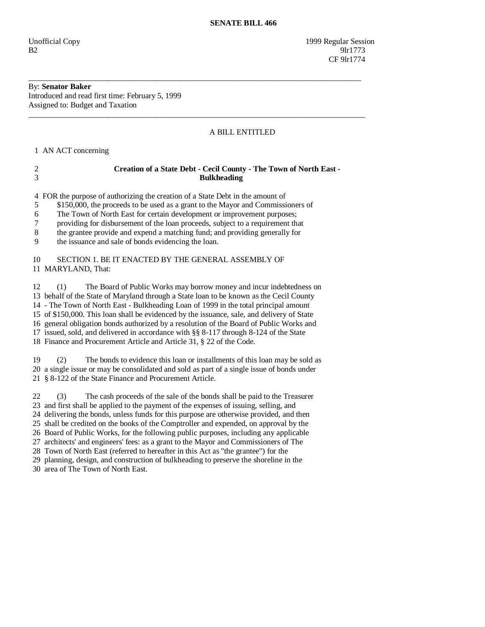Unofficial Copy 1999 Regular Session  $B2 \t\t 91r1773$ CF 9lr1774

# By: **Senator Baker**

Introduced and read first time: February 5, 1999 Assigned to: Budget and Taxation

## A BILL ENTITLED

1 AN ACT concerning

## 2 **Creation of a State Debt - Cecil County - The Town of North East -**  3 **Bulkheading**

\_\_\_\_\_\_\_\_\_\_\_\_\_\_\_\_\_\_\_\_\_\_\_\_\_\_\_\_\_\_\_\_\_\_\_\_\_\_\_\_\_\_\_\_\_\_\_\_\_\_\_\_\_\_\_\_\_\_\_\_\_\_\_\_\_\_\_\_\_\_\_\_\_\_\_\_\_\_\_\_\_\_\_\_

\_\_\_\_\_\_\_\_\_\_\_\_\_\_\_\_\_\_\_\_\_\_\_\_\_\_\_\_\_\_\_\_\_\_\_\_\_\_\_\_\_\_\_\_\_\_\_\_\_\_\_\_\_\_\_\_\_\_\_\_\_\_\_\_\_\_\_\_\_\_\_\_\_\_\_\_\_\_\_\_\_\_\_\_\_

4 FOR the purpose of authorizing the creation of a State Debt in the amount of

5 \$150,000, the proceeds to be used as a grant to the Mayor and Commissioners of

6 The Town of North East for certain development or improvement purposes;

7 providing for disbursement of the loan proceeds, subject to a requirement that

8 the grantee provide and expend a matching fund; and providing generally for

9 the issuance and sale of bonds evidencing the loan.

#### 10 SECTION 1. BE IT ENACTED BY THE GENERAL ASSEMBLY OF 11 MARYLAND, That:

 12 (1) The Board of Public Works may borrow money and incur indebtedness on 13 behalf of the State of Maryland through a State loan to be known as the Cecil County 14 - The Town of North East - Bulkheading Loan of 1999 in the total principal amount 15 of \$150,000. This loan shall be evidenced by the issuance, sale, and delivery of State 16 general obligation bonds authorized by a resolution of the Board of Public Works and 17 issued, sold, and delivered in accordance with §§ 8-117 through 8-124 of the State 18 Finance and Procurement Article and Article 31, § 22 of the Code.

 19 (2) The bonds to evidence this loan or installments of this loan may be sold as 20 a single issue or may be consolidated and sold as part of a single issue of bonds under 21 § 8-122 of the State Finance and Procurement Article.

 22 (3) The cash proceeds of the sale of the bonds shall be paid to the Treasurer 23 and first shall be applied to the payment of the expenses of issuing, selling, and 24 delivering the bonds, unless funds for this purpose are otherwise provided, and then 25 shall be credited on the books of the Comptroller and expended, on approval by the 26 Board of Public Works, for the following public purposes, including any applicable 27 architects' and engineers' fees: as a grant to the Mayor and Commissioners of The 28 Town of North East (referred to hereafter in this Act as "the grantee") for the 29 planning, design, and construction of bulkheading to preserve the shoreline in the 30 area of The Town of North East.